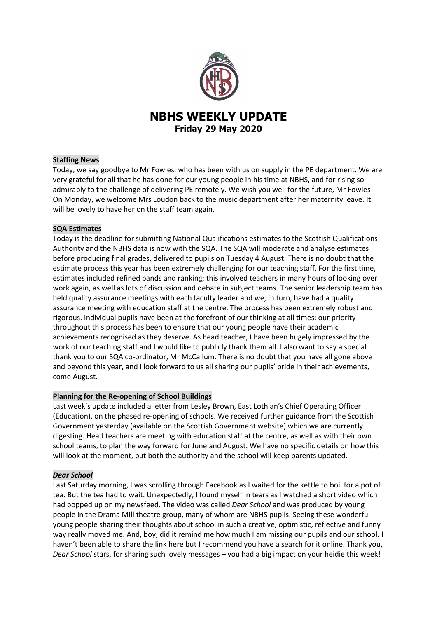

# **NBHS WEEKLY UPDATE Friday 29 May 2020**

## **Staffing News**

Today, we say goodbye to Mr Fowles, who has been with us on supply in the PE department. We are very grateful for all that he has done for our young people in his time at NBHS, and for rising so admirably to the challenge of delivering PE remotely. We wish you well for the future, Mr Fowles! On Monday, we welcome Mrs Loudon back to the music department after her maternity leave. It will be lovely to have her on the staff team again.

### **SQA Estimates**

Today is the deadline for submitting National Qualifications estimates to the Scottish Qualifications Authority and the NBHS data is now with the SQA. The SQA will moderate and analyse estimates before producing final grades, delivered to pupils on Tuesday 4 August. There is no doubt that the estimate process this year has been extremely challenging for our teaching staff. For the first time, estimates included refined bands and ranking; this involved teachers in many hours of looking over work again, as well as lots of discussion and debate in subject teams. The senior leadership team has held quality assurance meetings with each faculty leader and we, in turn, have had a quality assurance meeting with education staff at the centre. The process has been extremely robust and rigorous. Individual pupils have been at the forefront of our thinking at all times: our priority throughout this process has been to ensure that our young people have their academic achievements recognised as they deserve. As head teacher, I have been hugely impressed by the work of our teaching staff and I would like to publicly thank them all. I also want to say a special thank you to our SQA co-ordinator, Mr McCallum. There is no doubt that you have all gone above and beyond this year, and I look forward to us all sharing our pupils' pride in their achievements, come August.

### **Planning for the Re-opening of School Buildings**

Last week's update included a letter from Lesley Brown, East Lothian's Chief Operating Officer (Education), on the phased re-opening of schools. We received further guidance from the Scottish Government yesterday (available on the Scottish Government website) which we are currently digesting. Head teachers are meeting with education staff at the centre, as well as with their own school teams, to plan the way forward for June and August. We have no specific details on how this will look at the moment, but both the authority and the school will keep parents updated.

### *Dear School*

Last Saturday morning, I was scrolling through Facebook as I waited for the kettle to boil for a pot of tea. But the tea had to wait. Unexpectedly, I found myself in tears as I watched a short video which had popped up on my newsfeed. The video was called *Dear School* and was produced by young people in the Drama Mill theatre group, many of whom are NBHS pupils. Seeing these wonderful young people sharing their thoughts about school in such a creative, optimistic, reflective and funny way really moved me. And, boy, did it remind me how much I am missing our pupils and our school. I haven't been able to share the link here but I recommend you have a search for it online. Thank you, *Dear School* stars, for sharing such lovely messages – you had a big impact on your heidie this week!